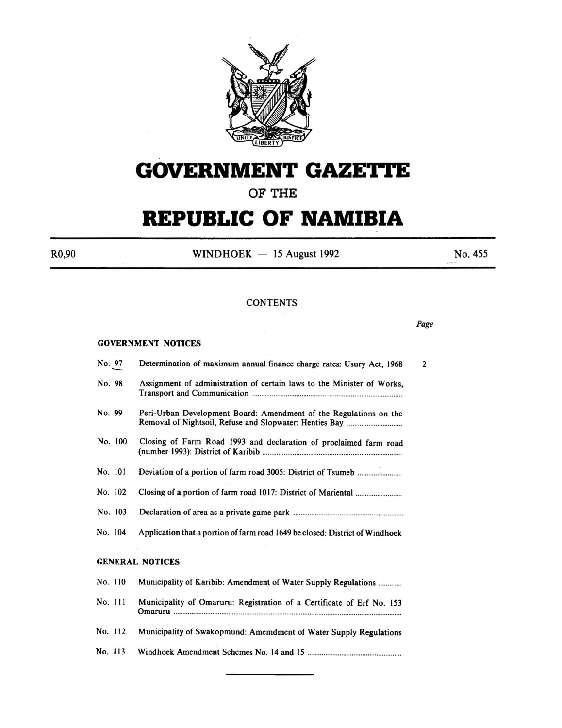

# **GOVERNMENT GAZETTE**

# **OF THE**

# **REPUBLIC OF NAMIBIA**

 $R0,90$  WINDHOEK - 15 August 1992 No. 455

*Page* 

# **CONTENTS**

#### GOVERNMENT NOTICES

| No. 97                 | Determination of maximum annual finance charge rates: Usury Act, 1968<br>$\overline{2}$ |
|------------------------|-----------------------------------------------------------------------------------------|
| No. 98                 | Assignment of administration of certain laws to the Minister of Works,                  |
| No. 99                 | Peri-Urban Development Board: Amendment of the Regulations on the                       |
| No. 100                | Closing of Farm Road 1993 and declaration of proclaimed farm road                       |
| No. 101                |                                                                                         |
| No. 102                |                                                                                         |
| No. 103                |                                                                                         |
| No. 104                | Application that a portion of farm road 1649 be closed: District of Windhoek            |
| <b>GENERAL NOTICES</b> |                                                                                         |
| No. 110                | Municipality of Karibib: Amendment of Water Supply Regulations                          |
| No. 111                | Municipality of Omaruru: Registration of a Certificate of Erf No. 153                   |
| No. 112                | Municipality of Swakopmund: Amemdment of Water Supply Regulations                       |
| No. 113                |                                                                                         |
|                        |                                                                                         |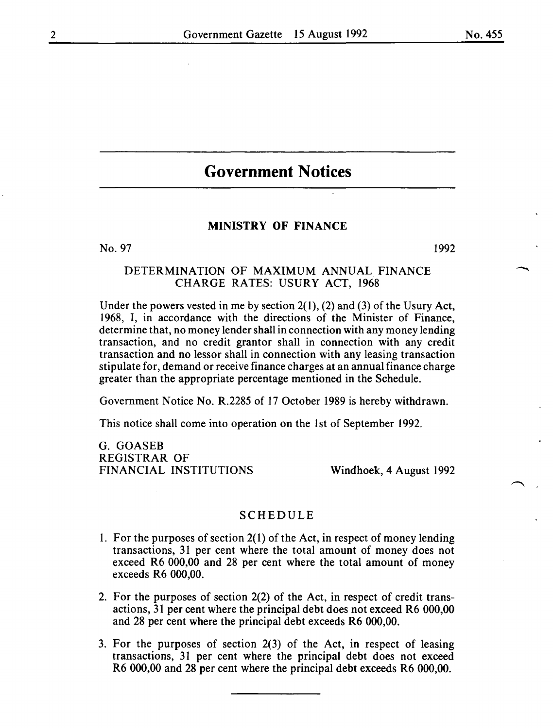# **Government Notices**

# MINISTRY OF FINANCE

No. 97 **I**992

# DETERMINATION OF MAXIMUM ANNUAL FINANCE CHARGE RATES: USURY ACT, I968

Under the powers vested in me by section  $2(1)$ ,  $(2)$  and  $(3)$  of the Usury Act, I968, I, in accordance with the directions of the Minister of Finance, determine that, no money lender shall in connection with any money lending transaction, and no credit grantor shall in connection with any credit transaction and no lessor shall in connection with any leasing transaction stipulate for, demand or receive finance charges at an annual finance charge greater than the appropriate percentage mentioned in the Schedule.

Government Notice No. R.2285 of I7 October I989 is hereby withdrawn.

This notice shall come into operation on the 1st of September 1992.

G. GOASEB REGISTRAR OF FINANCIAL INSTITUTIONS

Windhoek, 4 August I992

#### SCHEDULE

- 1. For the purposes of section  $2(1)$  of the Act, in respect of money lending transactions, 3I per cent where the total amount of money does not exceed R6 000,00 and 28 per cent where the total amount of money exceeds R6 000,00.
- 2. For the purposes of section 2(2) of the Act, in respect of credit transactions, 31 per cent where the principal debt does not exceed R6 000,00 and 28 per cent where the principal debt exceeds R6 000,00.
- 3. For the purposes of section 2(3) of the Act, in respect of leasing transactions, 31 per cent where the principal debt does not exceed R6 000,00 and 28 per cent where the principal debt exceeds R6 000,00.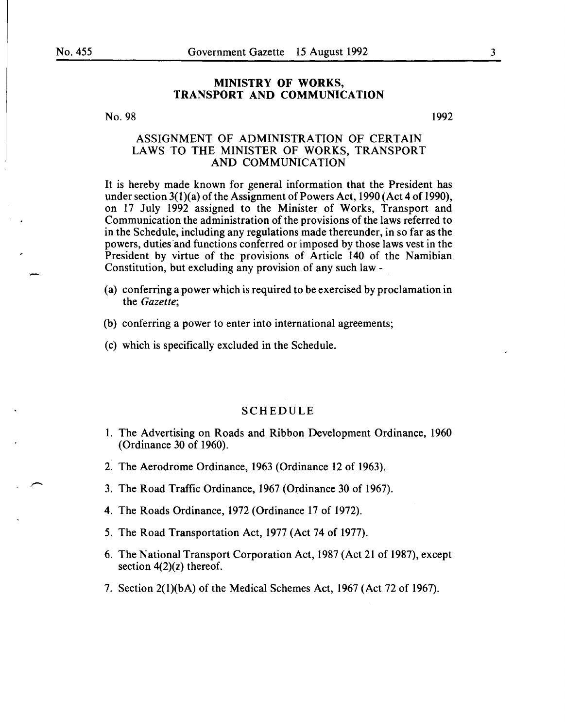# MINISTRY OF WORKS, TRANSPORT AND COMMUNICATION

#### No. 98

# ASSIGNMENT OF ADMINISTRATION OF CERTAIN LAWS TO THE MINISTER OF WORKS, TRANSPORT AND COMMUNICATION

It is hereby made known for general information that the President has under section  $3(1)(a)$  of the Assignment of Powers Act, 1990 (Act 4 of 1990), on 17 July 1992 assigned to the Minister of Works, Transport and Communication the administration of the provisions of the laws referred to in the Schedule, including any regulations made thereunder, in so far as the powers, duties and functions conferred or imposed by those laws vest in the President by virtue of the provisions of Article 140 of the Namibian Constitution, but excluding any provision of any such law -

- (a) conferring a power which is required to be exercised by proclamation in the *Gazette;*
- (b) conferring a power to enter into international agreements;
- (c) which is specifically excluded in the Schedule.

#### SCHEDULE

- 1. The Advertising on Roads and Ribbon Development Ordinance, 1960 (Ordinance 30 of 1960).
- 2. The Aerodrome Ordinance, 1963 (Ordinance 12 of 1963).
- 3. The Road Traffic Ordinance, 1967 (Ordinance 30 of 1967).
- 4. The Roads Ordinance, 1972 (Ordinance 17 of 1972).
- 5. The Road Transportation Act, 1977 (Act 74 of 1977).
- 6. The National Transport Corporation Act, 1987 (Act 21 of 1987), except section  $4(2)(z)$  thereof.
- 7. Section 2(l)(bA) of the Medical Schemes Act, 1967 (Act 72 of 1967).

1992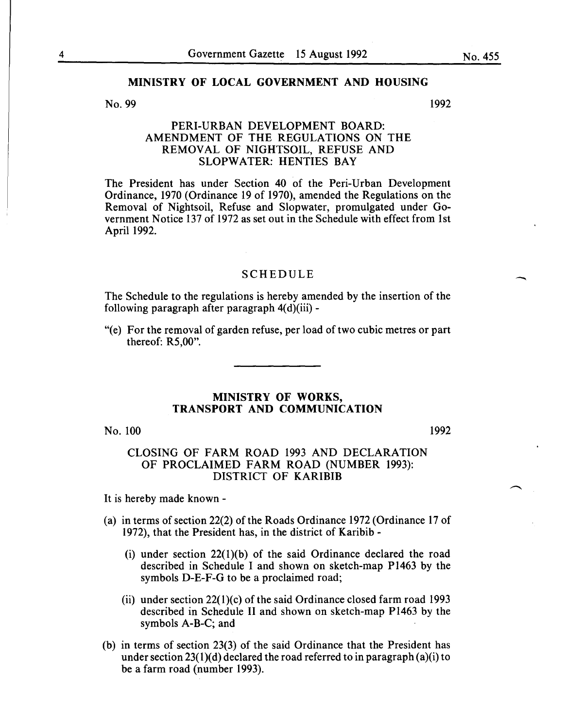#### No. 99

1992

# PERI-URBAN DEVELOPMENT BOARD: AMENDMENT OF THE REGULATIONS ON THE REMOVAL OF NIGHTSOIL, REFUSE AND SLOPWATER: HENTIES BAY

The President has under Section 40 of the Peri-Urban Development Ordinance, 1970 (Ordinance 19 of 1970), amended the Regulations on the Removal of Nightsoil, Refuse and Slopwater, promulgated under Government Notice 137 of 1972 as set out in the Schedule with effect from 1st April 1992.

#### SCHEDULE

The Schedule to the regulations is hereby amended by the insertion of the following paragraph after paragraph  $4(d)(iii)$  -

"(e) For the removal of garden refuse, per load of two cubic metres or part thereof: R5,00".

#### MINISTRY OF WORKS, TRANSPORT AND COMMUNICATION

No. 100

1992

# CLOSING OF FARM ROAD 1993 AND DECLARATION OF PROCLAIMED FARM ROAD (NUMBER 1993): DISTRICT OF KARIBIB

It is hereby made known-

- (a) in terms of section 22(2) of the Roads Ordinance 1972 (Ordinance 17 of 1972), that the President has, in the district of Karibib -
	- (i) under section  $22(1)(b)$  of the said Ordinance declared the road described in Schedule I and shown on sketch-map P1463 by the symbols D-E-F-G to be a proclaimed road;
	- (ii) under section  $22(1)(c)$  of the said Ordinance closed farm road 1993 described in Schedule II and shown on sketch-map P1463 by the symbols A-B-C; and
- (b) in terms of section 23(3) of the said Ordinance that the President has under section 23(1)(d) declared the road referred to in paragraph (a)(i) to be a farm road (number 1993).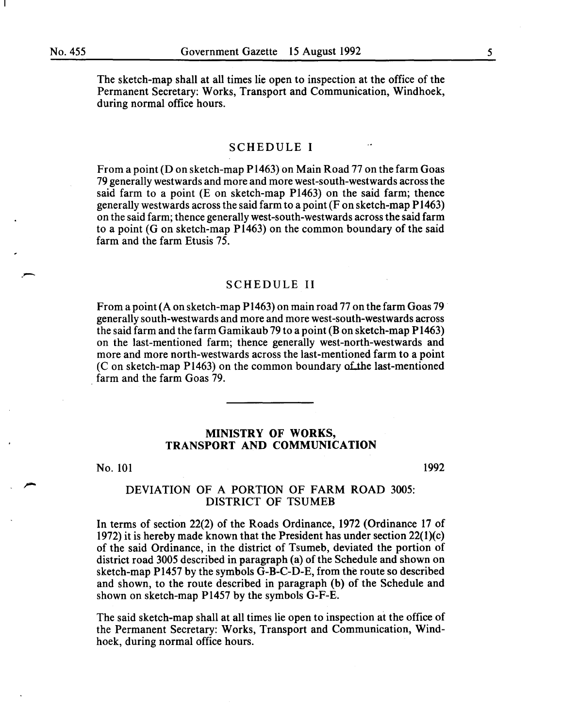. -

The sketch-map shall at all times lie open to inspection at the office of the Permanent Secretary: Works, Transport and Communication, Windhoek, during normal office hours.

#### SCHEDULE I

From a point (D on sketch-map P1463) on Main Road 77 on the farm Goas 79 generally westwards and more and more west-south-westwards across the said farm to a point (E on sketch-map P1463) on the said farm; thence generally westwards across the said farm to a point (F on sketch-map P 1463) on the said farm; thence generally west-south-westwards across the said farm to a point (G on sketch-map P1463) on the common boundary of the said farm and the farm Etusis 75.

## SCHEDULE II

From a point (A on sketch-map P1463) on main road 77 on the farm Goas 79 generally south-westwards and more and more west-south-westwards across the said farm and the farm Gamikaub 79 to a point (Bon sketch-map P1463) on the last-mentioned farm; thence generally west-north-westwards and more and more north-westwards across the last-mentioned farm to a point  $(C \text{ on sketch-map } P1463)$  on the common boundary of the last-mentioned farm and the farm Goas 79.

# MINISTRY OF WORKS, TRANSPORT AND COMMUNICATION

No. 101

1992

## DEVIATION OF A PORTION OF FARM ROAD 3005: DISTRICT OF TSUMEB

In terms of section 22(2) of the Roads Ordinance, 1972 (Ordinance 17 of 1972) it is hereby made known that the President has under section 22(1)(c) of the said Ordinance, in the district of Tsumeb, deviated the portion of district road 3005 described in paragraph (a) of the Schedule and shown on sketch-map P1457 by the symbols G-B-C-D-E, from the route so described and shown, to the route described in paragraph (b) of the Schedule and shown on sketch-map P1457 by the symbols G-F-E.

The said sketch-map shall at all times lie open to inspection at the office of the Permanent Secretary: Works, Transport and Communication, Windhoek, during normal office hours.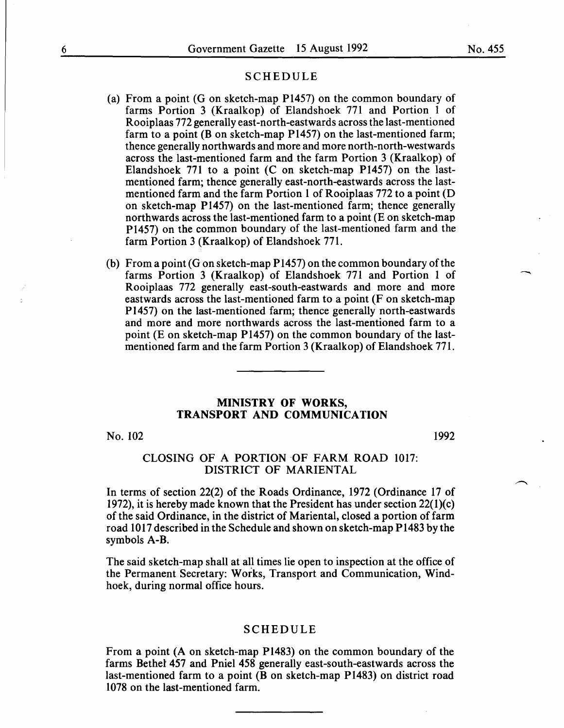#### SCHEDULE

- (a) From a point (G on sketch-map P1457) on the common boundary of farms Portion 3 (Kraalkop) of Elandshoek 771 and Portion 1 of Rooiplaas 772 generally east-north-eastwards across the last-mentioned farm to a point (B on sketch-map  $P1457$ ) on the last-mentioned farm; thence generally northwards and more and more north-north-westwards across the last-mentioned farm and the farm Portion 3 (Kraalkop) of Elandshoek 771 to a point (C on sketch-map P1457) on the lastmentioned farm; thence generally east-north-eastwards across the lastmentioned farm and the farm Portion 1 of Rooiplaas 772 to a point (D on sketch-map P1457) on the last-mentioned farm; thence generally northwards across the last-mentioned farm to a point (E on sketch-map P1457) on the common boundary of the last-mentioned farm and the farm Portion 3 (Kraalkop) of Elandshoek 771.
- (b) From a point (G on sketch-map  $P1457$ ) on the common boundary of the farms Portion 3 (Kraalkop) of Elandshoek 771 and Portion 1 of Rooiplaas 772 generally east-south-eastwards and more and more eastwards across the last-mentioned farm to a point (F on sketch-map P1457) on the last-mentioned farm; thence generally north-eastwards and more and more northwards across the last-mentioned farm to a point (E on sketch-map P1457) on the common boundary of the lastmentioned farm and the farm Portion 3 (Kraalkop) of Elandshoek 771.

#### MINISTRY OF WORKS, TRANSPORT AND COMMUNICATION

No. 102

1992

## CLOSING OF A PORTION OF FARM ROAD 1017: DISTRICT OF MARIENTAL

In terms of section 22(2) of the Roads Ordinance, 1972 (Ordinance 17 of 1972), it is hereby made known that the President has under section 22(l)(c) of the said Ordinance, in the district of Marien tal, closed a portion of farm road 1017 described in the Schedule and shown on sketch-map P1483 by the symbols A-B.

The said sketch-map shall at all times lie open to inspection at the office of the Permanent Secretary: Works, Transport and Communication, Windhoek, during normal office hours.

#### SCHEDULE

From a point (A on sketch-map P1483) on the common boundary of the farms Bethel 457 and Pniel 458 generally east-south-eastwards across the last-mentioned farm to a point (B on sketch-map P1483) on district road 1078 on the last-mentioned farm.

 $\overline{\phantom{a}}$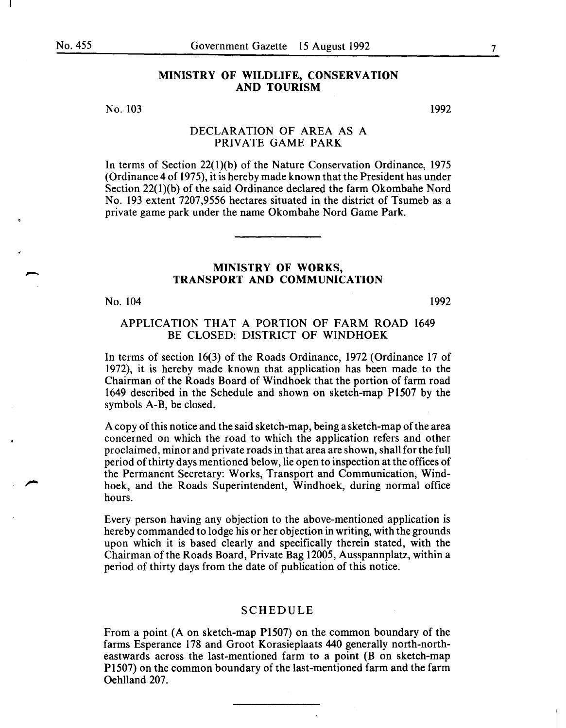-

## MINISTRY OF WILDLIFE, CONSERVATION AND TOURISM

No. 103

1992

# DECLARATION OF AREA AS A PRIVATE GAME PARK

In terms of Section 22(1)(b) of the Nature Conservation Ordinance, 1975 (Ordinance 4 of 1975), it is hereby made known that the President has under Section 22(1)(b) of the said Ordinance declared the farm Okombahe Nord No. 193 extent 7207,9556 hectares situated in the district of Tsumeb as a private game park under the name Okombahe Nord Game Park.

# MINISTRY OF WORKS, TRANSPORT AND COMMUNICATION

No. 104

1992

## APPLICATION THAT A PORTION OF FARM ROAD 1649 BE CLOSED: DISTRICT OF WINDHOEK

In terms of section 16(3) of the Roads Ordinance, 1972 (Ordinance 17 of 1972), it is hereby made known that application has been made to the Chairman of the Roads Board of Windhoek that the portion of farm road 1649 described in the Schedule and shown on sketch-map P1507 by the symbols A-B, be closed.

A copy of this notice and the said sketch-map, being a sketch-map of the area concerned on which the road to which the application refers and other proclaimed, minor and private roads in that area are shown, shall for the full period of thirty days mentioned below, lie open to inspection at the offices of the Permanent Secretary: Works, Transport and Communication, Windhoek, and the Roads Superintendent, Windhoek, during normal office hours.

Every person having any objection to the above-mentioned application is hereby commanded to lodge his or her objection in writing, with the grounds upon which it is based clearly and specifically therein stated, with the Chairman of the Roads Board, Private Bag 12005, Ausspannplatz, within a period of thirty days from the date of publication of this notice.

#### SCHEDULE

From a point (A on sketch-map P1507) on the common boundary of the farms Esperance 178 and Groot Korasieplaats 440 generally north-northeastwards across the last-mentioned farm to a point (B on sketch-map P1507) on the common boundary of the last-mentioned farm and the farm Oehlland 207.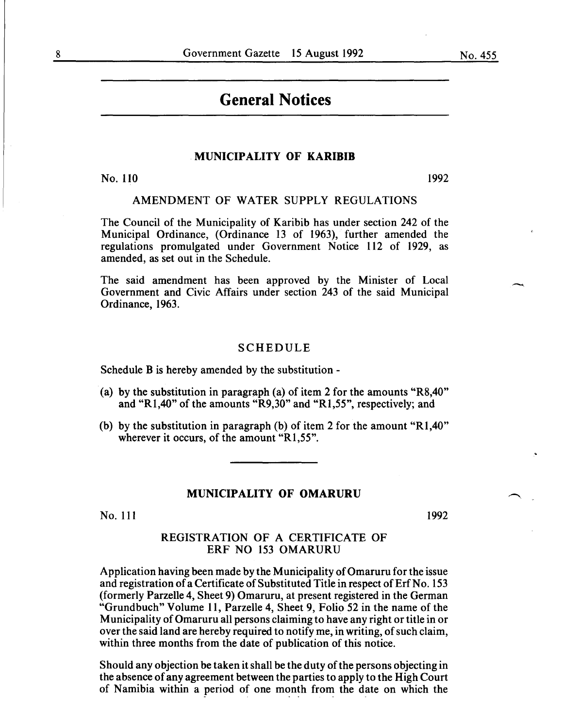# **General Notices**

#### MUNICIPALITY OF KARIBIB

No. 110 1992

# AMENDMENT OF WATER SUPPLY REGULATIONS

The Council of the Municipality of Karibib has under section 242 of the Municipal Ordinance, (Ordinance 13 of 1963), further amended the regulations promulgated under Government Notice 112 of 1929, as amended, as set out in the Schedule.

The said amendment has been approved by the Minister of Local Government and Civic Affairs under section 243 of the said Municipal Ordinance, 1963.

#### SCHEDULE

Schedule B is hereby amended by the substitution -

- (a) by the substitution in paragraph (a) of item 2 for the amounts "R8,40" and "R1,40" of the amounts "R9,30" and "R1,55", respectively; and
- (b) by the substitution in paragraph (b) of item 2 for the amount "R1,40" wherever it occurs, of the amount "R1,55".

#### MUNICIPALITY OF OMARURU

No. 111

1992

# REGISTRATION OF A CERTIFICATE OF ERF NO 153 OMARURU

Application having been made by the Municipality of Omaruru for the issue and registration of a Certificate of Substituted Title in respect of Erf No. 153 (formerly Parzelle 4, Sheet 9) Omaruru, at present registered in the German "Grundbuch" Volume 11, Parzelle 4, Sheet 9, Folio 52 in the name of the Municipality of Omaruru all persons claiming to have any right or title in or over the said land are hereby required to notify me, in writing, of such claim, within three months from the date of publication of this notice.

Should any objection be taken it shall be the duty of the persons objecting in the absence of any agreement between the parties to apply to the High Court of Namibia within a period of one month from the date on which the